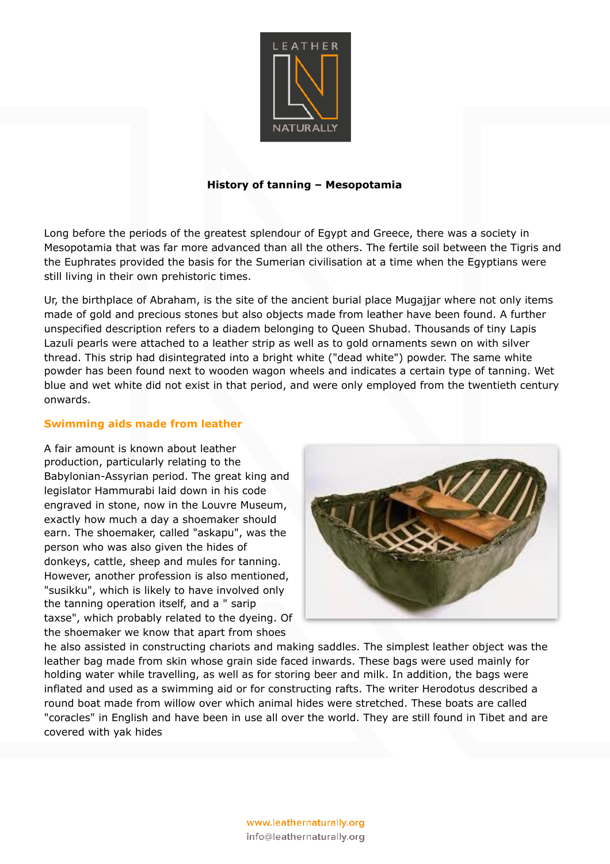

# **History of tanning – Mesopotamia**

Long before the periods of the greatest splendour of Egypt and Greece, there was a society in Mesopotamia that was far more advanced than all the others. The fertile soil between the Tigris and the Euphrates provided the basis for the Sumerian civilisation at a time when the Egyptians were still living in their own prehistoric times.

Ur, the birthplace of Abraham, is the site of the ancient burial place Mugajjar where not only items made of gold and precious stones but also objects made from leather have been found. A further unspecified description refers to a diadem belonging to Queen Shubad. Thousands of tiny Lapis Lazuli pearls were attached to a leather strip as well as to gold ornaments sewn on with silver thread. This strip had disintegrated into a bright white ("dead white") powder. The same white powder has been found next to wooden wagon wheels and indicates a certain type of tanning. Wet blue and wet white did not exist in that period, and were only employed from the twentieth century onwards.

### **Swimming aids made from leather**

A fair amount is known about leather production, particularly relating to the Babylonian-Assyrian period. The great king and legislator Hammurabi laid down in his code engraved in stone, now in the Louvre Museum, exactly how much a day a shoemaker should earn. The shoemaker, called "askapu", was the person who was also given the hides of donkeys, cattle, sheep and mules for tanning. However, another profession is also mentioned, "susikku", which is likely to have involved only the tanning operation itself, and a " sarip taxse", which probably related to the dyeing. Of the shoemaker we know that apart from shoes



he also assisted in constructing chariots and making saddles. The simplest leather object was the leather bag made from skin whose grain side faced inwards. These bags were used mainly for holding water while travelling, as well as for storing beer and milk. In addition, the bags were inflated and used as a swimming aid or for constructing rafts. The writer Herodotus described a round boat made from willow over which animal hides were stretched. These boats are called "coracles" in English and have been in use all over the world. They are still found in Tibet and are covered with yak hides